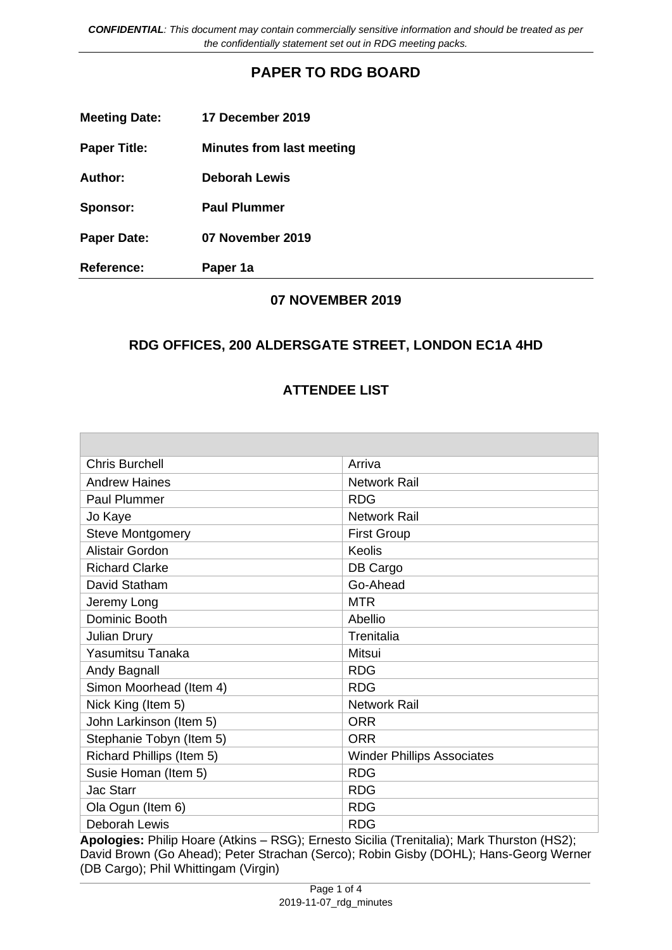*CONFIDENTIAL: This document may contain commercially sensitive information and should be treated as per the confidentially statement set out in RDG meeting packs.*

# **PAPER TO RDG BOARD**

| <b>Meeting Date:</b> | 17 December 2019                 |
|----------------------|----------------------------------|
| <b>Paper Title:</b>  | <b>Minutes from last meeting</b> |
| Author:              | <b>Deborah Lewis</b>             |
| Sponsor:             | <b>Paul Plummer</b>              |
| <b>Paper Date:</b>   | 07 November 2019                 |
| <b>Reference:</b>    | Paper 1a                         |

### **07 NOVEMBER 2019**

# **RDG OFFICES, 200 ALDERSGATE STREET, LONDON EC1A 4HD**

### **ATTENDEE LIST**

| <b>Chris Burchell</b>     | Arriva                            |
|---------------------------|-----------------------------------|
| <b>Andrew Haines</b>      | Network Rail                      |
| <b>Paul Plummer</b>       | <b>RDG</b>                        |
| Jo Kaye                   | <b>Network Rail</b>               |
| <b>Steve Montgomery</b>   | <b>First Group</b>                |
| Alistair Gordon           | Keolis                            |
| <b>Richard Clarke</b>     | DB Cargo                          |
| David Statham             | Go-Ahead                          |
| Jeremy Long               | <b>MTR</b>                        |
| Dominic Booth             | Abellio                           |
| <b>Julian Drury</b>       | Trenitalia                        |
| Yasumitsu Tanaka          | Mitsui                            |
| Andy Bagnall              | <b>RDG</b>                        |
| Simon Moorhead (Item 4)   | <b>RDG</b>                        |
| Nick King (Item 5)        | <b>Network Rail</b>               |
| John Larkinson (Item 5)   | <b>ORR</b>                        |
| Stephanie Tobyn (Item 5)  | <b>ORR</b>                        |
| Richard Phillips (Item 5) | <b>Winder Phillips Associates</b> |
| Susie Homan (Item 5)      | <b>RDG</b>                        |
| <b>Jac Starr</b>          | <b>RDG</b>                        |
| Ola Ogun (Item 6)         | <b>RDG</b>                        |
| <b>Deborah Lewis</b>      | <b>RDG</b>                        |

**Apologies:** Philip Hoare (Atkins – RSG); Ernesto Sicilia (Trenitalia); Mark Thurston (HS2); David Brown (Go Ahead); Peter Strachan (Serco); Robin Gisby (DOHL); Hans-Georg Werner (DB Cargo); Phil Whittingam (Virgin)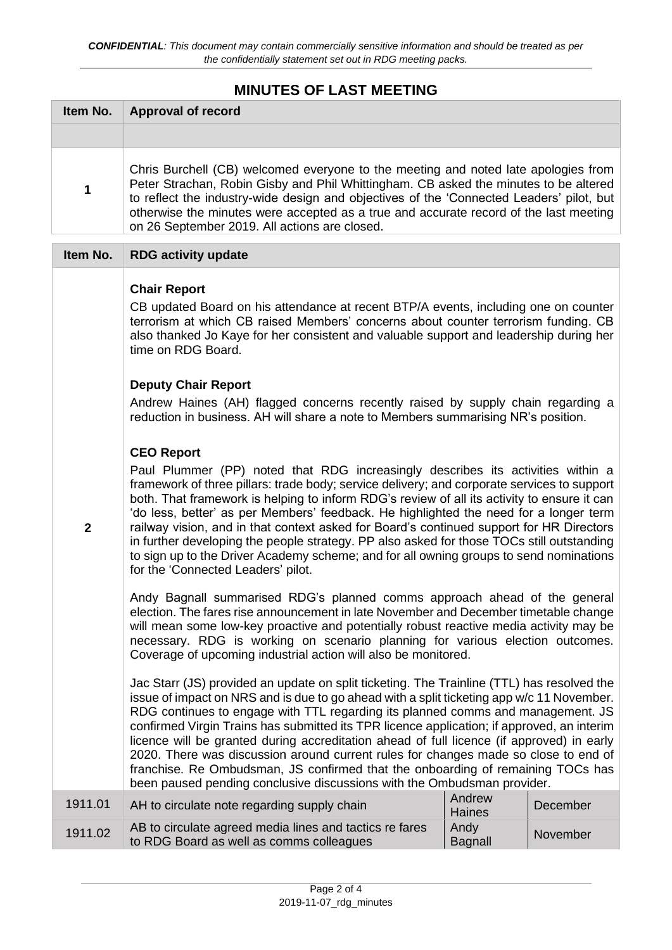# **MINUTES OF LAST MEETING**

| Item No.     | <b>Approval of record</b>                                                                                                                                                                                                                                                                                                                                                                                                                                                                                                                                                                                                                                                                                                                                                                                                                                                                                                                                                                                                                                                                                                                                                                                                                                                                                                                                                                                                                                                                                                                                                                                                                                                                                                                                                                                                                                                                                                                                                                                                                    |                         |          |
|--------------|----------------------------------------------------------------------------------------------------------------------------------------------------------------------------------------------------------------------------------------------------------------------------------------------------------------------------------------------------------------------------------------------------------------------------------------------------------------------------------------------------------------------------------------------------------------------------------------------------------------------------------------------------------------------------------------------------------------------------------------------------------------------------------------------------------------------------------------------------------------------------------------------------------------------------------------------------------------------------------------------------------------------------------------------------------------------------------------------------------------------------------------------------------------------------------------------------------------------------------------------------------------------------------------------------------------------------------------------------------------------------------------------------------------------------------------------------------------------------------------------------------------------------------------------------------------------------------------------------------------------------------------------------------------------------------------------------------------------------------------------------------------------------------------------------------------------------------------------------------------------------------------------------------------------------------------------------------------------------------------------------------------------------------------------|-------------------------|----------|
|              |                                                                                                                                                                                                                                                                                                                                                                                                                                                                                                                                                                                                                                                                                                                                                                                                                                                                                                                                                                                                                                                                                                                                                                                                                                                                                                                                                                                                                                                                                                                                                                                                                                                                                                                                                                                                                                                                                                                                                                                                                                              |                         |          |
| 1            | Chris Burchell (CB) welcomed everyone to the meeting and noted late apologies from<br>Peter Strachan, Robin Gisby and Phil Whittingham. CB asked the minutes to be altered<br>to reflect the industry-wide design and objectives of the 'Connected Leaders' pilot, but<br>otherwise the minutes were accepted as a true and accurate record of the last meeting<br>on 26 September 2019. All actions are closed.                                                                                                                                                                                                                                                                                                                                                                                                                                                                                                                                                                                                                                                                                                                                                                                                                                                                                                                                                                                                                                                                                                                                                                                                                                                                                                                                                                                                                                                                                                                                                                                                                             |                         |          |
| Item No.     | <b>RDG activity update</b>                                                                                                                                                                                                                                                                                                                                                                                                                                                                                                                                                                                                                                                                                                                                                                                                                                                                                                                                                                                                                                                                                                                                                                                                                                                                                                                                                                                                                                                                                                                                                                                                                                                                                                                                                                                                                                                                                                                                                                                                                   |                         |          |
| $\mathbf{2}$ | <b>Chair Report</b><br>CB updated Board on his attendance at recent BTP/A events, including one on counter<br>terrorism at which CB raised Members' concerns about counter terrorism funding. CB<br>also thanked Jo Kaye for her consistent and valuable support and leadership during her<br>time on RDG Board.<br><b>Deputy Chair Report</b><br>Andrew Haines (AH) flagged concerns recently raised by supply chain regarding a<br>reduction in business. AH will share a note to Members summarising NR's position.<br><b>CEO Report</b><br>Paul Plummer (PP) noted that RDG increasingly describes its activities within a<br>framework of three pillars: trade body; service delivery; and corporate services to support<br>both. That framework is helping to inform RDG's review of all its activity to ensure it can<br>'do less, better' as per Members' feedback. He highlighted the need for a longer term<br>railway vision, and in that context asked for Board's continued support for HR Directors<br>in further developing the people strategy. PP also asked for those TOCs still outstanding<br>to sign up to the Driver Academy scheme; and for all owning groups to send nominations<br>for the 'Connected Leaders' pilot.<br>Andy Bagnall summarised RDG's planned comms approach ahead of the general<br>election. The fares rise announcement in late November and December timetable change<br>will mean some low-key proactive and potentially robust reactive media activity may be<br>necessary. RDG is working on scenario planning for various election outcomes.<br>Coverage of upcoming industrial action will also be monitored.<br>Jac Starr (JS) provided an update on split ticketing. The Trainline (TTL) has resolved the<br>issue of impact on NRS and is due to go ahead with a split ticketing app w/c 11 November.<br>RDG continues to engage with TTL regarding its planned comms and management. JS<br>confirmed Virgin Trains has submitted its TPR licence application; if approved, an interim |                         |          |
|              | licence will be granted during accreditation ahead of full licence (if approved) in early<br>2020. There was discussion around current rules for changes made so close to end of<br>franchise. Re Ombudsman, JS confirmed that the onboarding of remaining TOCs has<br>been paused pending conclusive discussions with the Ombudsman provider.                                                                                                                                                                                                                                                                                                                                                                                                                                                                                                                                                                                                                                                                                                                                                                                                                                                                                                                                                                                                                                                                                                                                                                                                                                                                                                                                                                                                                                                                                                                                                                                                                                                                                               |                         |          |
| 1911.01      | AH to circulate note regarding supply chain                                                                                                                                                                                                                                                                                                                                                                                                                                                                                                                                                                                                                                                                                                                                                                                                                                                                                                                                                                                                                                                                                                                                                                                                                                                                                                                                                                                                                                                                                                                                                                                                                                                                                                                                                                                                                                                                                                                                                                                                  | Andrew<br><b>Haines</b> | December |
| 1911.02      | AB to circulate agreed media lines and tactics re fares<br>to RDG Board as well as comms colleagues                                                                                                                                                                                                                                                                                                                                                                                                                                                                                                                                                                                                                                                                                                                                                                                                                                                                                                                                                                                                                                                                                                                                                                                                                                                                                                                                                                                                                                                                                                                                                                                                                                                                                                                                                                                                                                                                                                                                          | Andy<br><b>Bagnall</b>  | November |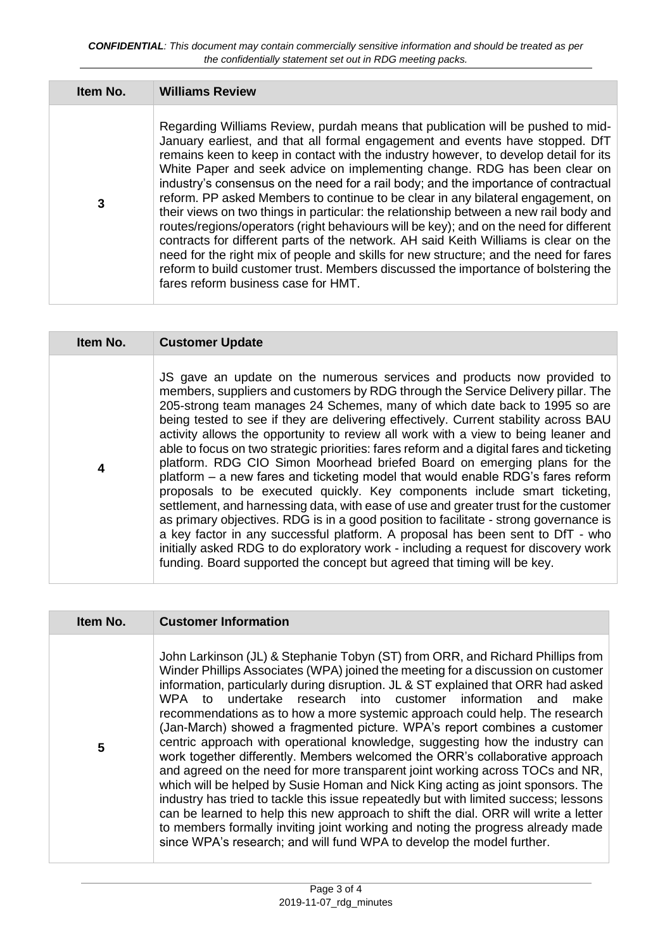| Item No. | <b>Williams Review</b>                                                                                                                                                                                                                                                                                                                                                                                                                                                                                                                                                                                                                                                                                                                                                                                                                                                                                                                                                                                            |
|----------|-------------------------------------------------------------------------------------------------------------------------------------------------------------------------------------------------------------------------------------------------------------------------------------------------------------------------------------------------------------------------------------------------------------------------------------------------------------------------------------------------------------------------------------------------------------------------------------------------------------------------------------------------------------------------------------------------------------------------------------------------------------------------------------------------------------------------------------------------------------------------------------------------------------------------------------------------------------------------------------------------------------------|
| 3        | Regarding Williams Review, purdah means that publication will be pushed to mid-<br>January earliest, and that all formal engagement and events have stopped. DfT<br>remains keen to keep in contact with the industry however, to develop detail for its<br>White Paper and seek advice on implementing change. RDG has been clear on<br>industry's consensus on the need for a rail body; and the importance of contractual<br>reform. PP asked Members to continue to be clear in any bilateral engagement, on<br>their views on two things in particular: the relationship between a new rail body and<br>routes/regions/operators (right behaviours will be key); and on the need for different<br>contracts for different parts of the network. AH said Keith Williams is clear on the<br>need for the right mix of people and skills for new structure; and the need for fares<br>reform to build customer trust. Members discussed the importance of bolstering the<br>fares reform business case for HMT. |

| Item No. | <b>Customer Update</b>                                                                                                                                                                                                                                                                                                                                                                                                                                                                                                                                                                                                                                                                                                                                                                                                                                                                                                                                                                                                                                                                                                                                                                                 |
|----------|--------------------------------------------------------------------------------------------------------------------------------------------------------------------------------------------------------------------------------------------------------------------------------------------------------------------------------------------------------------------------------------------------------------------------------------------------------------------------------------------------------------------------------------------------------------------------------------------------------------------------------------------------------------------------------------------------------------------------------------------------------------------------------------------------------------------------------------------------------------------------------------------------------------------------------------------------------------------------------------------------------------------------------------------------------------------------------------------------------------------------------------------------------------------------------------------------------|
| 4        | JS gave an update on the numerous services and products now provided to<br>members, suppliers and customers by RDG through the Service Delivery pillar. The<br>205-strong team manages 24 Schemes, many of which date back to 1995 so are<br>being tested to see if they are delivering effectively. Current stability across BAU<br>activity allows the opportunity to review all work with a view to being leaner and<br>able to focus on two strategic priorities: fares reform and a digital fares and ticketing<br>platform. RDG CIO Simon Moorhead briefed Board on emerging plans for the<br>platform - a new fares and ticketing model that would enable RDG's fares reform<br>proposals to be executed quickly. Key components include smart ticketing,<br>settlement, and harnessing data, with ease of use and greater trust for the customer<br>as primary objectives. RDG is in a good position to facilitate - strong governance is<br>a key factor in any successful platform. A proposal has been sent to DfT - who<br>initially asked RDG to do exploratory work - including a request for discovery work<br>funding. Board supported the concept but agreed that timing will be key. |

| Item No. | <b>Customer Information</b>                                                                                                                                                                                                                                                                                                                                                                                                                                                                                                                                                                                                                                                                                                                                                                                                                                                                                                                                                                                                                                                                                                                                              |
|----------|--------------------------------------------------------------------------------------------------------------------------------------------------------------------------------------------------------------------------------------------------------------------------------------------------------------------------------------------------------------------------------------------------------------------------------------------------------------------------------------------------------------------------------------------------------------------------------------------------------------------------------------------------------------------------------------------------------------------------------------------------------------------------------------------------------------------------------------------------------------------------------------------------------------------------------------------------------------------------------------------------------------------------------------------------------------------------------------------------------------------------------------------------------------------------|
| 5        | John Larkinson (JL) & Stephanie Tobyn (ST) from ORR, and Richard Phillips from<br>Winder Phillips Associates (WPA) joined the meeting for a discussion on customer<br>information, particularly during disruption. JL & ST explained that ORR had asked<br>undertake research into customer information and<br>WPA to<br>make<br>recommendations as to how a more systemic approach could help. The research<br>(Jan-March) showed a fragmented picture. WPA's report combines a customer<br>centric approach with operational knowledge, suggesting how the industry can<br>work together differently. Members welcomed the ORR's collaborative approach<br>and agreed on the need for more transparent joint working across TOCs and NR,<br>which will be helped by Susie Homan and Nick King acting as joint sponsors. The<br>industry has tried to tackle this issue repeatedly but with limited success; lessons<br>can be learned to help this new approach to shift the dial. ORR will write a letter<br>to members formally inviting joint working and noting the progress already made<br>since WPA's research; and will fund WPA to develop the model further. |